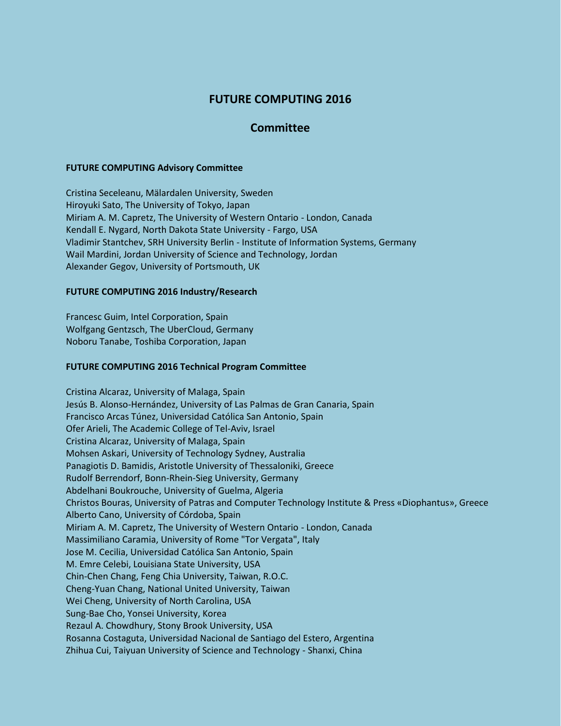# **FUTURE COMPUTING 2016**

## **Committee**

### **FUTURE COMPUTING Advisory Committee**

Cristina Seceleanu, Mälardalen University, Sweden Hiroyuki Sato, The University of Tokyo, Japan Miriam A. M. Capretz, The University of Western Ontario - London, Canada Kendall E. Nygard, North Dakota State University - Fargo, USA Vladimir Stantchev, SRH University Berlin - Institute of Information Systems, Germany Wail Mardini, Jordan University of Science and Technology, Jordan Alexander Gegov, University of Portsmouth, UK

### **FUTURE COMPUTING 2016 Industry/Research**

Francesc Guim, Intel Corporation, Spain Wolfgang Gentzsch, The UberCloud, Germany Noboru Tanabe, Toshiba Corporation, Japan

#### **FUTURE COMPUTING 2016 Technical Program Committee**

Cristina Alcaraz, University of Malaga, Spain Jesús B. Alonso-Hernández, University of Las Palmas de Gran Canaria, Spain Francisco Arcas Túnez, Universidad Católica San Antonio, Spain Ofer Arieli, The Academic College of Tel-Aviv, Israel Cristina Alcaraz, University of Malaga, Spain Mohsen Askari, University of Technology Sydney, Australia Panagiotis D. Bamidis, Aristotle University of Thessaloniki, Greece Rudolf Berrendorf, Bonn-Rhein-Sieg University, Germany Abdelhani Boukrouche, University of Guelma, Algeria Christos Bouras, University of Patras and Computer Technology Institute & Press «Diophantus», Greece Alberto Cano, University of Córdoba, Spain Miriam A. M. Capretz, The University of Western Ontario - London, Canada Massimiliano Caramia, University of Rome "Tor Vergata", Italy Jose M. Cecilia, Universidad Católica San Antonio, Spain M. Emre Celebi, Louisiana State University, USA Chin-Chen Chang, Feng Chia University, Taiwan, R.O.C. Cheng-Yuan Chang, National United University, Taiwan Wei Cheng, University of North Carolina, USA Sung-Bae Cho, Yonsei University, Korea Rezaul A. Chowdhury, Stony Brook University, USA Rosanna Costaguta, Universidad Nacional de Santiago del Estero, Argentina Zhihua Cui, Taiyuan University of Science and Technology - Shanxi, China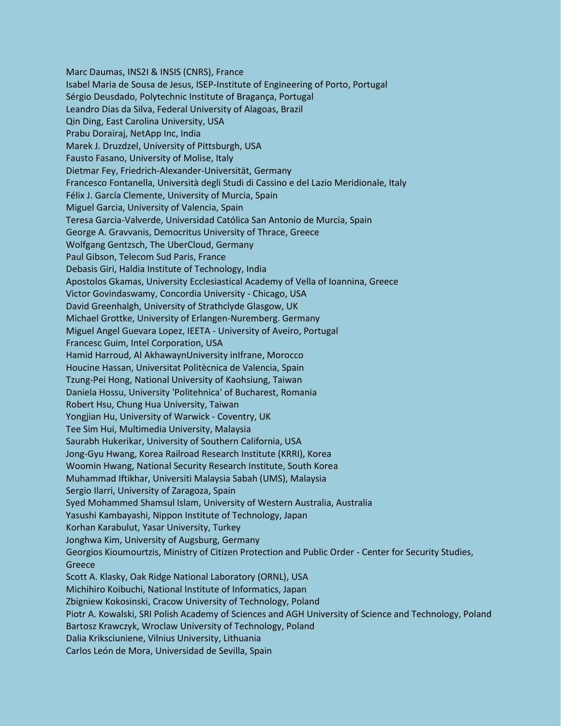Marc Daumas, INS2I & INSIS (CNRS), France Isabel Maria de Sousa de Jesus, ISEP-Institute of Engineering of Porto, Portugal Sérgio Deusdado, Polytechnic Institute of Bragança, Portugal Leandro Dias da Silva, Federal University of Alagoas, Brazil Qin Ding, East Carolina University, USA Prabu Dorairaj, NetApp Inc, India Marek J. Druzdzel, University of Pittsburgh, USA Fausto Fasano, University of Molise, Italy Dietmar Fey, Friedrich-Alexander-Universität, Germany Francesco Fontanella, Università degli Studi di Cassino e del Lazio Meridionale, Italy Félix J. García Clemente, University of Murcia, Spain Miguel Garcia, University of Valencia, Spain Teresa Garcia-Valverde, Universidad Católica San Antonio de Murcia, Spain George A. Gravvanis, Democritus University of Thrace, Greece Wolfgang Gentzsch, The UberCloud, Germany Paul Gibson, Telecom Sud Paris, France Debasis Giri, Haldia Institute of Technology, India Apostolos Gkamas, University Ecclesiastical Academy of Vella of Ioannina, Greece Victor Govindaswamy, Concordia University - Chicago, USA David Greenhalgh, University of Strathclyde Glasgow, UK Michael Grottke, University of Erlangen-Nuremberg. Germany Miguel Angel Guevara Lopez, IEETA - University of Aveiro, Portugal Francesc Guim, Intel Corporation, USA Hamid Harroud, Al AkhawaynUniversity inIfrane, Morocco Houcine Hassan, Universitat Politècnica de Valencia, Spain Tzung-Pei Hong, National University of Kaohsiung, Taiwan Daniela Hossu, University 'Politehnica' of Bucharest, Romania Robert Hsu, Chung Hua University, Taiwan Yongjian Hu, University of Warwick - Coventry, UK Tee Sim Hui, Multimedia University, Malaysia Saurabh Hukerikar, University of Southern California, USA Jong-Gyu Hwang, Korea Railroad Research Institute (KRRI), Korea Woomin Hwang, National Security Research Institute, South Korea Muhammad Iftikhar, Universiti Malaysia Sabah (UMS), Malaysia Sergio Ilarri, University of Zaragoza, Spain Syed Mohammed Shamsul Islam, University of Western Australia, Australia Yasushi Kambayashi, Nippon Institute of Technology, Japan Korhan Karabulut, Yasar University, Turkey Jonghwa Kim, University of Augsburg, Germany Georgios Kioumourtzis, Ministry of Citizen Protection and Public Order - Center for Security Studies, Greece Scott A. Klasky, Oak Ridge National Laboratory (ORNL), USA Michihiro Koibuchi, National Institute of Informatics, Japan Zbigniew Kokosinski, Cracow University of Technology, Poland Piotr A. Kowalski, SRI Polish Academy of Sciences and AGH University of Science and Technology, Poland Bartosz Krawczyk, Wroclaw University of Technology, Poland Dalia Kriksciuniene, Vilnius University, Lithuania Carlos León de Mora, Universidad de Sevilla, Spain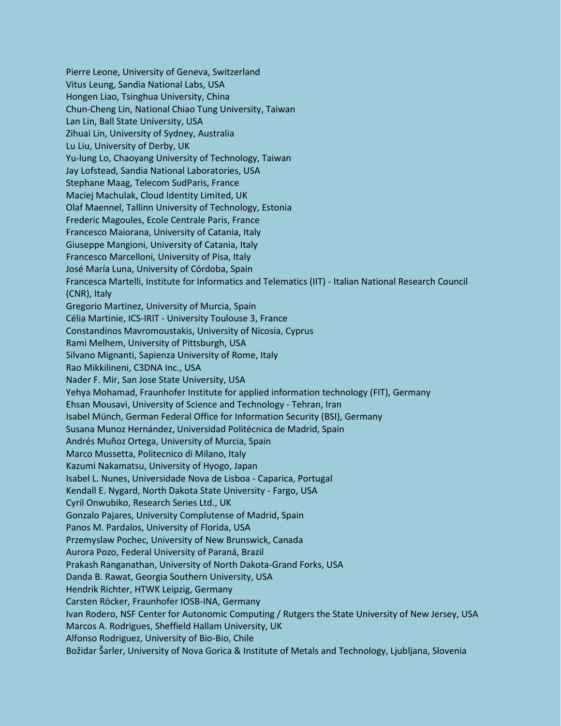Pierre Leone, University of Geneva, Switzerland Vitus Leung, Sandia National Labs, USA Hongen Liao, Tsinghua University, China Chun-Cheng Lin, National Chiao Tung University, Taiwan Lan Lin, Ball State University, USA Zihuai Lin, University of Sydney, Australia Lu Liu, University of Derby, UK Yu-lung Lo, Chaoyang University of Technology, Taiwan Jay Lofstead, Sandia National Laboratories, USA Stephane Maag, Telecom SudParis, France Maciej Machulak, Cloud Identity Limited, UK Olaf Maennel, Tallinn University of Technology, Estonia Frederic Magoules, Ecole Centrale Paris, France Francesco Maiorana, University of Catania, Italy Giuseppe Mangioni, University of Catania, Italy Francesco Marcelloni, University of Pisa, Italy José María Luna, University of Córdoba, Spain Francesca Martelli, Institute for Informatics and Telematics (IIT) - Italian National Research Council (CNR), Italy Gregorio Martinez, University of Murcia, Spain Célia Martinie, ICS-IRIT - University Toulouse 3, France Constandinos Mavromoustakis, University of Nicosia, Cyprus Rami Melhem, University of Pittsburgh, USA Silvano Mignanti, Sapienza University of Rome, Italy Rao Mikkilineni, C3DNA Inc., USA Nader F. Mir, San Jose State University, USA Yehya Mohamad, Fraunhofer Institute for applied information technology (FIT), Germany Ehsan Mousavi, University of Science and Technology - Tehran, Iran Isabel Münch, German Federal Office for Information Security (BSI), Germany Susana Munoz Hernández, Universidad Politécnica de Madrid, Spain Andrés Muñoz Ortega, University of Murcia, Spain Marco Mussetta, Politecnico di Milano, Italy Kazumi Nakamatsu, University of Hyogo, Japan Isabel L. Nunes, Universidade Nova de Lisboa - Caparica, Portugal Kendall E. Nygard, North Dakota State University - Fargo, USA Cyril Onwubiko, Research Series Ltd., UK Gonzalo Pajares, University Complutense of Madrid, Spain Panos M. Pardalos, University of Florida, USA Przemyslaw Pochec, University of New Brunswick, Canada Aurora Pozo, Federal University of Paraná, Brazil Prakash Ranganathan, University of North Dakota-Grand Forks, USA Danda B. Rawat, Georgia Southern University, USA Hendrik Richter, HTWK Leipzig, Germany Carsten Röcker, Fraunhofer IOSB-INA, Germany Ivan Rodero, NSF Center for Autonomic Computing / Rutgers the State University of New Jersey, USA Marcos A. Rodrigues, Sheffield Hallam University, UK Alfonso Rodriguez, University of Bio-Bio, Chile Božidar Šarler, University of Nova Gorica & Institute of Metals and Technology, Ljubljana, Slovenia